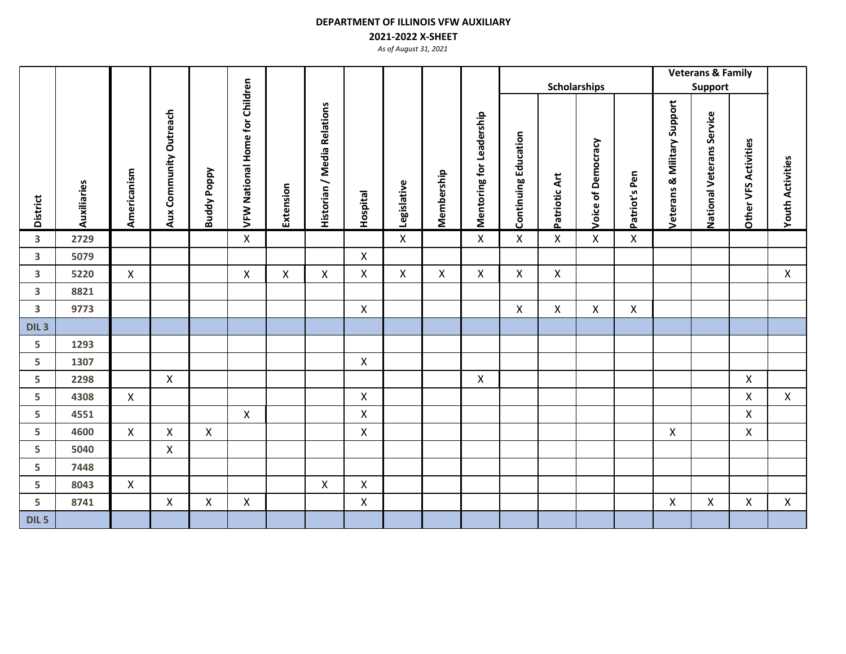## **2021-2022 X-SHEET**

|                         |             |                    |                        |                    |                                |           |                             |                    |              |            | <b>Scholarships</b>      |                             |               |                           |               |                                        | <b>Veterans &amp; Family</b><br>Support |                             |                         |
|-------------------------|-------------|--------------------|------------------------|--------------------|--------------------------------|-----------|-----------------------------|--------------------|--------------|------------|--------------------------|-----------------------------|---------------|---------------------------|---------------|----------------------------------------|-----------------------------------------|-----------------------------|-------------------------|
|                         |             |                    |                        |                    |                                |           |                             |                    |              |            |                          |                             |               |                           |               |                                        |                                         |                             |                         |
| <b>District</b>         | Auxiliaries | Americanism        | Aux Community Outreach | <b>Buddy Poppy</b> | VFW National Home for Children | Extension | Historian / Media Relations | <b>Hospital</b>    | Legislative  | Membership | Mentoring for Leadership | <b>Continuing Education</b> | Patriotic Art | Voice of Democracy        | Patriot's Pen | <b>Veterans &amp; Military Support</b> | National Veterans Service               | <b>Other VFS Activities</b> | <b>Youth Activities</b> |
| $\overline{\mathbf{3}}$ | 2729        |                    |                        |                    | X                              |           |                             |                    | $\mathsf{X}$ |            | $\mathsf{X}$             | $\pmb{\mathsf{X}}$          | $\mathsf{X}$  | $\mathsf X$               | $\mathsf{X}$  |                                        |                                         |                             |                         |
| $\mathbf{3}$            | 5079        |                    |                        |                    |                                |           |                             | $\mathsf{X}$       |              |            |                          |                             |               |                           |               |                                        |                                         |                             |                         |
| $\overline{\mathbf{3}}$ | 5220        | $\pmb{\mathsf{X}}$ |                        |                    | X                              | X         | $\mathsf{X}$                | $\mathsf{X}$       | $\mathsf{X}$ | X          | $\mathsf{X}$             | $\pmb{\mathsf{X}}$          | $\mathsf{X}$  |                           |               |                                        |                                         |                             | $\pmb{\mathsf{X}}$      |
| $\overline{\mathbf{3}}$ | 8821        |                    |                        |                    |                                |           |                             |                    |              |            |                          |                             |               |                           |               |                                        |                                         |                             |                         |
| $\mathbf{3}$            | 9773        |                    |                        |                    |                                |           |                             | $\mathsf{X}$       |              |            |                          | X                           | $\mathsf{X}$  | $\boldsymbol{\mathsf{X}}$ | $\mathsf{X}$  |                                        |                                         |                             |                         |
| DIL <sub>3</sub>        |             |                    |                        |                    |                                |           |                             |                    |              |            |                          |                             |               |                           |               |                                        |                                         |                             |                         |
| 5                       | 1293        |                    |                        |                    |                                |           |                             |                    |              |            |                          |                             |               |                           |               |                                        |                                         |                             |                         |
| 5                       | 1307        |                    |                        |                    |                                |           |                             | X                  |              |            |                          |                             |               |                           |               |                                        |                                         |                             |                         |
| 5                       | 2298        |                    | $\mathsf{X}$           |                    |                                |           |                             |                    |              |            | $\pmb{\mathsf{X}}$       |                             |               |                           |               |                                        |                                         | $\mathsf{X}$                |                         |
| 5                       | 4308        | $\mathsf{X}$       |                        |                    |                                |           |                             | $\pmb{\mathsf{X}}$ |              |            |                          |                             |               |                           |               |                                        |                                         | X                           | $\mathsf{X}$            |
| 5                       | 4551        |                    |                        |                    | X                              |           |                             | X                  |              |            |                          |                             |               |                           |               |                                        |                                         | X                           |                         |
| 5                       | 4600        | $\mathsf{X}$       | $\pmb{\mathsf{X}}$     | X                  |                                |           |                             | X                  |              |            |                          |                             |               |                           |               | $\mathsf{X}$                           |                                         | Χ                           |                         |
| 5                       | 5040        |                    | $\pmb{\mathsf{X}}$     |                    |                                |           |                             |                    |              |            |                          |                             |               |                           |               |                                        |                                         |                             |                         |
| 5                       | 7448        |                    |                        |                    |                                |           |                             |                    |              |            |                          |                             |               |                           |               |                                        |                                         |                             |                         |
| 5                       | 8043        | $\mathsf{X}$       |                        |                    |                                |           | X                           | X                  |              |            |                          |                             |               |                           |               |                                        |                                         |                             |                         |
| 5                       | 8741        |                    | $\pmb{\mathsf{X}}$     | X                  | $\mathsf X$                    |           |                             | $\pmb{\times}$     |              |            |                          |                             |               |                           |               | $\pmb{\mathsf{X}}$                     | $\pmb{\mathsf{X}}$                      | Χ                           | $\mathsf{X}$            |
| DIL 5                   |             |                    |                        |                    |                                |           |                             |                    |              |            |                          |                             |               |                           |               |                                        |                                         |                             |                         |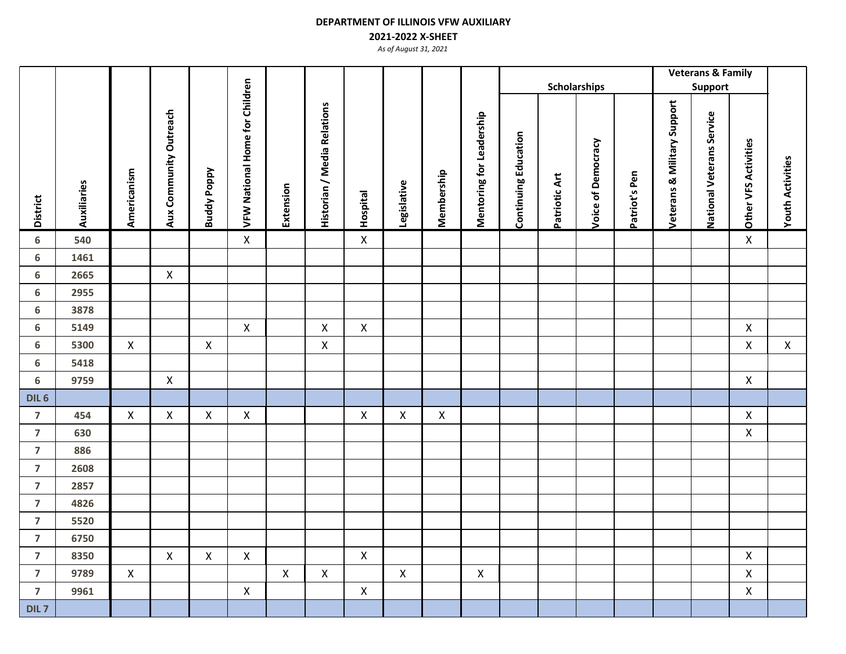## **2021-2022 X-SHEET**

|                         |             |                    |                        |                    |                                |             |                             |                    |                    |             |                          |                             |                     |                    |               |                             | <b>Veterans &amp; Family</b> |                      |                         |
|-------------------------|-------------|--------------------|------------------------|--------------------|--------------------------------|-------------|-----------------------------|--------------------|--------------------|-------------|--------------------------|-----------------------------|---------------------|--------------------|---------------|-----------------------------|------------------------------|----------------------|-------------------------|
|                         |             |                    |                        |                    |                                |             |                             |                    |                    |             |                          |                             | <b>Scholarships</b> |                    |               |                             | <b>Support</b>               |                      |                         |
| <b>District</b>         | Auxiliaries | Americanism        | Aux Community Outreach | <b>Buddy Poppy</b> | VFW National Home for Children | Extension   | Historian / Media Relations | <b>Hospital</b>    | Legislative        | Membership  | Mentoring for Leadership | <b>Continuing Education</b> | Patriotic Art       | Voice of Democracy | Patriot's Pen | Veterans & Military Support | National Veterans Service    | Other VFS Activities | <b>Youth Activities</b> |
| 6                       | 540         |                    |                        |                    | $\pmb{\mathsf{X}}$             |             |                             | $\mathsf X$        |                    |             |                          |                             |                     |                    |               |                             |                              | $\mathsf X$          |                         |
| 6                       | 1461        |                    |                        |                    |                                |             |                             |                    |                    |             |                          |                             |                     |                    |               |                             |                              |                      |                         |
| $\boldsymbol{6}$        | 2665        |                    | $\mathsf X$            |                    |                                |             |                             |                    |                    |             |                          |                             |                     |                    |               |                             |                              |                      |                         |
| $\boldsymbol{6}$        | 2955        |                    |                        |                    |                                |             |                             |                    |                    |             |                          |                             |                     |                    |               |                             |                              |                      |                         |
| $\boldsymbol{6}$        | 3878        |                    |                        |                    |                                |             |                             |                    |                    |             |                          |                             |                     |                    |               |                             |                              |                      |                         |
| 6                       | 5149        |                    |                        |                    | $\boldsymbol{\mathsf{X}}$      |             | $\pmb{\times}$              | $\pmb{\mathsf{X}}$ |                    |             |                          |                             |                     |                    |               |                             |                              | $\pmb{\times}$       |                         |
| 6                       | 5300        | $\pmb{\mathsf{X}}$ |                        | $\mathsf X$        |                                |             | $\mathsf{X}$                |                    |                    |             |                          |                             |                     |                    |               |                             |                              | $\mathsf{X}$         | $\mathsf X$             |
| $\boldsymbol{6}$        | 5418        |                    |                        |                    |                                |             |                             |                    |                    |             |                          |                             |                     |                    |               |                             |                              |                      |                         |
| $\boldsymbol{6}$        | 9759        |                    | $\mathsf X$            |                    |                                |             |                             |                    |                    |             |                          |                             |                     |                    |               |                             |                              | $\pmb{\times}$       |                         |
| DIL <sub>6</sub>        |             |                    |                        |                    |                                |             |                             |                    |                    |             |                          |                             |                     |                    |               |                             |                              |                      |                         |
| $\overline{7}$          | 454         | $\pmb{\times}$     | $\mathsf X$            | $\pmb{\mathsf{X}}$ | $\pmb{\times}$                 |             |                             | $\mathsf X$        | $\pmb{\mathsf{X}}$ | $\mathsf X$ |                          |                             |                     |                    |               |                             |                              | X                    |                         |
| $\overline{7}$          | 630         |                    |                        |                    |                                |             |                             |                    |                    |             |                          |                             |                     |                    |               |                             |                              | $\pmb{\mathsf{X}}$   |                         |
| $\overline{7}$          | 886         |                    |                        |                    |                                |             |                             |                    |                    |             |                          |                             |                     |                    |               |                             |                              |                      |                         |
| $\overline{7}$          | 2608        |                    |                        |                    |                                |             |                             |                    |                    |             |                          |                             |                     |                    |               |                             |                              |                      |                         |
| $\overline{7}$          | 2857        |                    |                        |                    |                                |             |                             |                    |                    |             |                          |                             |                     |                    |               |                             |                              |                      |                         |
| $\overline{\mathbf{z}}$ | 4826        |                    |                        |                    |                                |             |                             |                    |                    |             |                          |                             |                     |                    |               |                             |                              |                      |                         |
| $\overline{7}$          | 5520        |                    |                        |                    |                                |             |                             |                    |                    |             |                          |                             |                     |                    |               |                             |                              |                      |                         |
| $\overline{\mathbf{z}}$ | 6750        |                    |                        |                    |                                |             |                             |                    |                    |             |                          |                             |                     |                    |               |                             |                              |                      |                         |
| $\overline{\mathbf{z}}$ | 8350        |                    | $\pmb{\mathsf{X}}$     | $\mathsf X$        | $\pmb{\times}$                 |             |                             | $\pmb{\mathsf{X}}$ |                    |             |                          |                             |                     |                    |               |                             |                              | $\pmb{\mathsf{X}}$   |                         |
| $\overline{7}$          | 9789        | $\pmb{\mathsf{X}}$ |                        |                    |                                | $\mathsf X$ | $\mathsf{X}$                |                    | $\pmb{\times}$     |             | $\pmb{\mathsf{X}}$       |                             |                     |                    |               |                             |                              | $\mathsf{X}$         |                         |
| $\overline{7}$          | 9961        |                    |                        |                    | $\boldsymbol{\mathsf{X}}$      |             |                             | $\mathsf X$        |                    |             |                          |                             |                     |                    |               |                             |                              | $\mathsf{X}$         |                         |
| DIL <sub>7</sub>        |             |                    |                        |                    |                                |             |                             |                    |                    |             |                          |                             |                     |                    |               |                             |                              |                      |                         |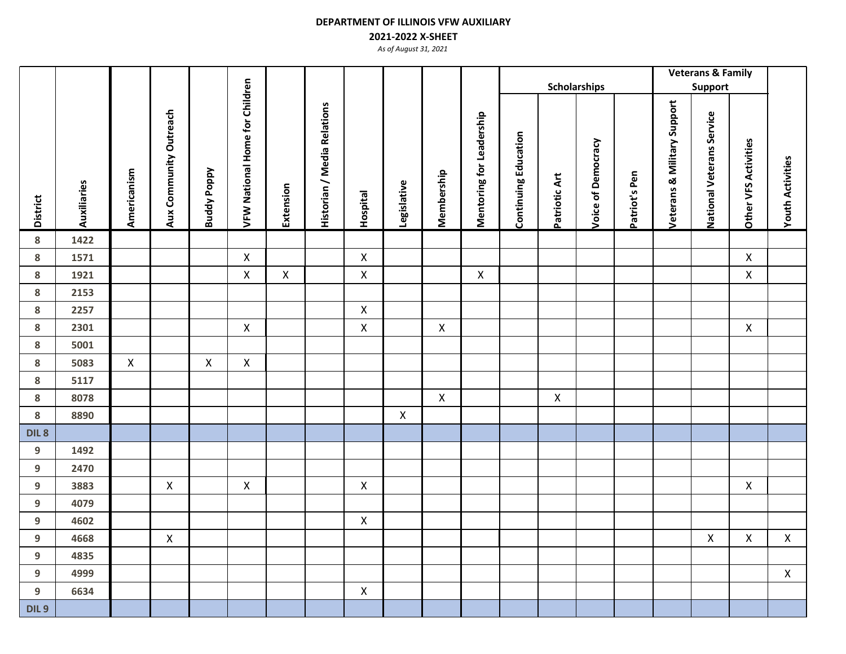## **2021-2022 X-SHEET**

|                  |             |                    |                        |                    |                                       |                    |                                    |                    |              |                    |                          |                             |                    |                     |               |                             | <b>Veterans &amp; Family</b> |                             |                         |
|------------------|-------------|--------------------|------------------------|--------------------|---------------------------------------|--------------------|------------------------------------|--------------------|--------------|--------------------|--------------------------|-----------------------------|--------------------|---------------------|---------------|-----------------------------|------------------------------|-----------------------------|-------------------------|
|                  |             |                    |                        |                    |                                       |                    |                                    |                    |              |                    |                          |                             |                    | <b>Scholarships</b> |               |                             | <b>Support</b>               |                             |                         |
| <b>District</b>  | Auxiliaries | Americanism        | Aux Community Outreach | <b>Buddy Poppy</b> | <b>VFW National Home for Children</b> | Extension          | <b>Historian / Media Relations</b> | <b>Hospital</b>    | Legislative  | Membership         | Mentoring for Leadership | <b>Continuing Education</b> | Patriotic Art      | Voice of Democracy  | Patriot's Pen | Veterans & Military Support | National Veterans Service    | <b>Other VFS Activities</b> | <b>Youth Activities</b> |
| ${\bf 8}$        | 1422        |                    |                        |                    |                                       |                    |                                    |                    |              |                    |                          |                             |                    |                     |               |                             |                              |                             |                         |
| ${\bf 8}$        | 1571        |                    |                        |                    | $\mathsf{X}$                          |                    |                                    | $\pmb{\mathsf{X}}$ |              |                    |                          |                             |                    |                     |               |                             |                              | $\pmb{\mathsf{X}}$          |                         |
| ${\bf 8}$        | 1921        |                    |                        |                    | $\pmb{\mathsf{X}}$                    | $\pmb{\mathsf{X}}$ |                                    | $\pmb{\times}$     |              |                    | $\pmb{\mathsf{X}}$       |                             |                    |                     |               |                             |                              | $\pmb{\times}$              |                         |
| ${\bf 8}$        | 2153        |                    |                        |                    |                                       |                    |                                    |                    |              |                    |                          |                             |                    |                     |               |                             |                              |                             |                         |
| ${\bf 8}$        | 2257        |                    |                        |                    |                                       |                    |                                    | $\pmb{\times}$     |              |                    |                          |                             |                    |                     |               |                             |                              |                             |                         |
| ${\bf 8}$        | 2301        |                    |                        |                    | $\pmb{\mathsf{X}}$                    |                    |                                    | $\pmb{\mathsf{X}}$ |              | $\pmb{\mathsf{X}}$ |                          |                             |                    |                     |               |                             |                              | X                           |                         |
| 8                | 5001        |                    |                        |                    |                                       |                    |                                    |                    |              |                    |                          |                             |                    |                     |               |                             |                              |                             |                         |
| ${\bf 8}$        | 5083        | $\pmb{\mathsf{X}}$ |                        | $\pmb{\mathsf{X}}$ | $\pmb{\mathsf{X}}$                    |                    |                                    |                    |              |                    |                          |                             |                    |                     |               |                             |                              |                             |                         |
| ${\bf 8}$        | 5117        |                    |                        |                    |                                       |                    |                                    |                    |              |                    |                          |                             |                    |                     |               |                             |                              |                             |                         |
| ${\bf 8}$        | 8078        |                    |                        |                    |                                       |                    |                                    |                    |              | $\mathsf X$        |                          |                             | $\pmb{\mathsf{X}}$ |                     |               |                             |                              |                             |                         |
| ${\bf 8}$        | 8890        |                    |                        |                    |                                       |                    |                                    |                    | $\mathsf{X}$ |                    |                          |                             |                    |                     |               |                             |                              |                             |                         |
| DIL <sub>8</sub> |             |                    |                        |                    |                                       |                    |                                    |                    |              |                    |                          |                             |                    |                     |               |                             |                              |                             |                         |
| $\boldsymbol{9}$ | 1492        |                    |                        |                    |                                       |                    |                                    |                    |              |                    |                          |                             |                    |                     |               |                             |                              |                             |                         |
| $\boldsymbol{9}$ | 2470        |                    |                        |                    |                                       |                    |                                    |                    |              |                    |                          |                             |                    |                     |               |                             |                              |                             |                         |
| $\boldsymbol{9}$ | 3883        |                    | $\mathsf{X}$           |                    | $\pmb{\mathsf{X}}$                    |                    |                                    | $\mathsf{X}$       |              |                    |                          |                             |                    |                     |               |                             |                              | $\pmb{\times}$              |                         |
| $\boldsymbol{9}$ | 4079        |                    |                        |                    |                                       |                    |                                    |                    |              |                    |                          |                             |                    |                     |               |                             |                              |                             |                         |
| $\boldsymbol{9}$ | 4602        |                    |                        |                    |                                       |                    |                                    | $\pmb{\mathsf{X}}$ |              |                    |                          |                             |                    |                     |               |                             |                              |                             |                         |
| $\boldsymbol{9}$ | 4668        |                    | $\pmb{\mathsf{X}}$     |                    |                                       |                    |                                    |                    |              |                    |                          |                             |                    |                     |               |                             | $\pmb{\times}$               | $\pmb{\times}$              | $\pmb{\mathsf{X}}$      |
| $\boldsymbol{9}$ | 4835        |                    |                        |                    |                                       |                    |                                    |                    |              |                    |                          |                             |                    |                     |               |                             |                              |                             |                         |
| $\boldsymbol{9}$ | 4999        |                    |                        |                    |                                       |                    |                                    |                    |              |                    |                          |                             |                    |                     |               |                             |                              |                             | $\mathsf{X}$            |
| $\boldsymbol{9}$ | 6634        |                    |                        |                    |                                       |                    |                                    | $\pmb{\times}$     |              |                    |                          |                             |                    |                     |               |                             |                              |                             |                         |
| DIL <sub>9</sub> |             |                    |                        |                    |                                       |                    |                                    |                    |              |                    |                          |                             |                    |                     |               |                             |                              |                             |                         |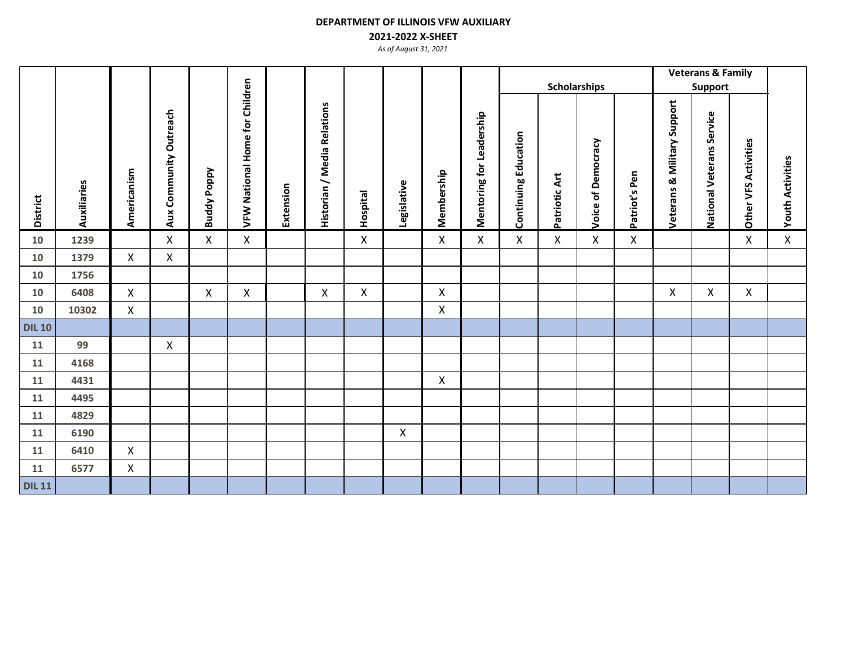## **2021-2022 X-SHEET**

|                 |             |              |                           |                    |                                |           |                             |                 |                    |             |                          | <b>Scholarships</b>         |               |                    |               |                                        | <b>Veterans &amp; Family</b><br>Support |                      |                         |
|-----------------|-------------|--------------|---------------------------|--------------------|--------------------------------|-----------|-----------------------------|-----------------|--------------------|-------------|--------------------------|-----------------------------|---------------|--------------------|---------------|----------------------------------------|-----------------------------------------|----------------------|-------------------------|
| <b>District</b> | Auxiliaries | Americanism  | Community Outreach<br>Aux | <b>Buddy Poppy</b> | VFW National Home for Children | Extension | Historian / Media Relations | <b>Hospital</b> | Legislative        | Membership  | Mentoring for Leadership | <b>Continuing Education</b> | Patriotic Art | Voice of Democracy | Patriot's Pen | <b>Veterans &amp; Military Support</b> | National Veterans Service               | Other VFS Activities | <b>Youth Activities</b> |
| 10              | 1239        |              | X                         | $\mathsf{X}$       | X                              |           |                             | X               |                    | X           | $\pmb{\mathsf{X}}$       | X                           | $\mathsf{X}$  | $\pmb{\times}$     | $\mathsf X$   |                                        |                                         | X                    | $\mathsf{X}$            |
| 10              | 1379        | X            | $\pmb{\mathsf{X}}$        |                    |                                |           |                             |                 |                    |             |                          |                             |               |                    |               |                                        |                                         |                      |                         |
| 10              | 1756        |              |                           |                    |                                |           |                             |                 |                    |             |                          |                             |               |                    |               |                                        |                                         |                      |                         |
| 10              | 6408        | X            |                           | X                  | X                              |           | X                           | X               |                    | X           |                          |                             |               |                    |               | X                                      | X                                       | X                    |                         |
| 10              | 10302       | $\mathsf{X}$ |                           |                    |                                |           |                             |                 |                    | X           |                          |                             |               |                    |               |                                        |                                         |                      |                         |
| <b>DIL 10</b>   |             |              |                           |                    |                                |           |                             |                 |                    |             |                          |                             |               |                    |               |                                        |                                         |                      |                         |
| 11              | 99          |              | X                         |                    |                                |           |                             |                 |                    |             |                          |                             |               |                    |               |                                        |                                         |                      |                         |
| 11              | 4168        |              |                           |                    |                                |           |                             |                 |                    |             |                          |                             |               |                    |               |                                        |                                         |                      |                         |
| 11              | 4431        |              |                           |                    |                                |           |                             |                 |                    | $\mathsf X$ |                          |                             |               |                    |               |                                        |                                         |                      |                         |
| 11              | 4495        |              |                           |                    |                                |           |                             |                 |                    |             |                          |                             |               |                    |               |                                        |                                         |                      |                         |
| 11              | 4829        |              |                           |                    |                                |           |                             |                 |                    |             |                          |                             |               |                    |               |                                        |                                         |                      |                         |
| 11              | 6190        |              |                           |                    |                                |           |                             |                 | $\pmb{\mathsf{X}}$ |             |                          |                             |               |                    |               |                                        |                                         |                      |                         |
| 11              | 6410        | X            |                           |                    |                                |           |                             |                 |                    |             |                          |                             |               |                    |               |                                        |                                         |                      |                         |
| 11              | 6577        | X            |                           |                    |                                |           |                             |                 |                    |             |                          |                             |               |                    |               |                                        |                                         |                      |                         |
| <b>DIL 11</b>   |             |              |                           |                    |                                |           |                             |                 |                    |             |                          |                             |               |                    |               |                                        |                                         |                      |                         |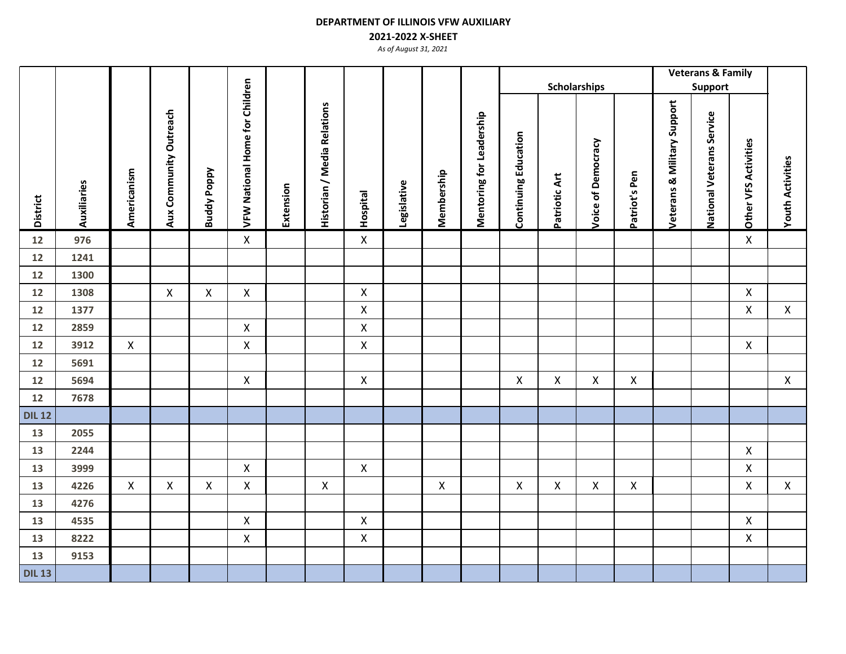## **2021-2022 X-SHEET**

|                 |             |                |                        |                    |                                       |           |                             |                 |             |             | <b>Scholarships</b>      |                             |                    |                    |                    |                                        | <b>Veterans &amp; Family</b> |                      |                         |
|-----------------|-------------|----------------|------------------------|--------------------|---------------------------------------|-----------|-----------------------------|-----------------|-------------|-------------|--------------------------|-----------------------------|--------------------|--------------------|--------------------|----------------------------------------|------------------------------|----------------------|-------------------------|
|                 |             |                |                        |                    |                                       |           |                             |                 |             |             |                          |                             |                    |                    |                    |                                        | <b>Support</b>               |                      |                         |
| <b>District</b> | Auxiliaries | Americanism    | Aux Community Outreach | <b>Buddy Poppy</b> | <b>VFW National Home for Children</b> | Extension | Historian / Media Relations | <b>Hospital</b> | Legislative | Membership  | Mentoring for Leadership | <b>Continuing Education</b> | Patriotic Art      | Voice of Democracy | Patriot's Pen      | <b>Veterans &amp; Military Support</b> | National Veterans Service    | Other VFS Activities | <b>Youth Activities</b> |
| 12              | 976         |                |                        |                    | $\mathsf X$                           |           |                             | $\mathsf{X}$    |             |             |                          |                             |                    |                    |                    |                                        |                              | $\mathsf{X}$         |                         |
| 12              | 1241        |                |                        |                    |                                       |           |                             |                 |             |             |                          |                             |                    |                    |                    |                                        |                              |                      |                         |
| 12              | 1300        |                |                        |                    |                                       |           |                             |                 |             |             |                          |                             |                    |                    |                    |                                        |                              |                      |                         |
| 12              | 1308        |                | $\mathsf{X}$           | $\mathsf{X}$       | $\mathsf{X}$                          |           |                             | X               |             |             |                          |                             |                    |                    |                    |                                        |                              | $\mathsf{X}$         |                         |
| 12              | 1377        |                |                        |                    |                                       |           |                             | X               |             |             |                          |                             |                    |                    |                    |                                        |                              | $\pmb{\times}$       | $\mathsf{X}$            |
| 12              | 2859        |                |                        |                    | $\mathsf{X}$                          |           |                             | X               |             |             |                          |                             |                    |                    |                    |                                        |                              |                      |                         |
| 12              | 3912        | X              |                        |                    | $\boldsymbol{\mathsf{X}}$             |           |                             | X               |             |             |                          |                             |                    |                    |                    |                                        |                              | X                    |                         |
| 12              | 5691        |                |                        |                    |                                       |           |                             |                 |             |             |                          |                             |                    |                    |                    |                                        |                              |                      |                         |
| 12              | 5694        |                |                        |                    | $\mathsf{X}$                          |           |                             | X               |             |             |                          | X                           | X                  | $\mathsf{X}$       | $\mathsf{X}$       |                                        |                              |                      | $\mathsf{X}$            |
| 12              | 7678        |                |                        |                    |                                       |           |                             |                 |             |             |                          |                             |                    |                    |                    |                                        |                              |                      |                         |
| <b>DIL 12</b>   |             |                |                        |                    |                                       |           |                             |                 |             |             |                          |                             |                    |                    |                    |                                        |                              |                      |                         |
| 13              | 2055        |                |                        |                    |                                       |           |                             |                 |             |             |                          |                             |                    |                    |                    |                                        |                              |                      |                         |
| 13              | 2244        |                |                        |                    |                                       |           |                             |                 |             |             |                          |                             |                    |                    |                    |                                        |                              | $\mathsf{X}$         |                         |
| 13              | 3999        |                |                        |                    | $\mathsf{X}$                          |           |                             | X               |             |             |                          |                             |                    |                    |                    |                                        |                              | X                    |                         |
| 13              | 4226        | $\pmb{\times}$ | $\mathsf{X}$           | $\pmb{\mathsf{X}}$ | $\pmb{\times}$                        |           | $\pmb{\mathsf{X}}$          |                 |             | $\mathsf X$ |                          | $\pmb{\mathsf{X}}$          | $\pmb{\mathsf{X}}$ | $\mathsf{X}$       | $\pmb{\mathsf{X}}$ |                                        |                              | $\mathsf X$          | $\mathsf{X}$            |
| 13              | 4276        |                |                        |                    |                                       |           |                             |                 |             |             |                          |                             |                    |                    |                    |                                        |                              |                      |                         |
| 13              | 4535        |                |                        |                    | $\pmb{\times}$                        |           |                             | X               |             |             |                          |                             |                    |                    |                    |                                        |                              | X                    |                         |
| 13              | 8222        |                |                        |                    | $\pmb{\times}$                        |           |                             | X               |             |             |                          |                             |                    |                    |                    |                                        |                              | X                    |                         |
| 13              | 9153        |                |                        |                    |                                       |           |                             |                 |             |             |                          |                             |                    |                    |                    |                                        |                              |                      |                         |
| <b>DIL 13</b>   |             |                |                        |                    |                                       |           |                             |                 |             |             |                          |                             |                    |                    |                    |                                        |                              |                      |                         |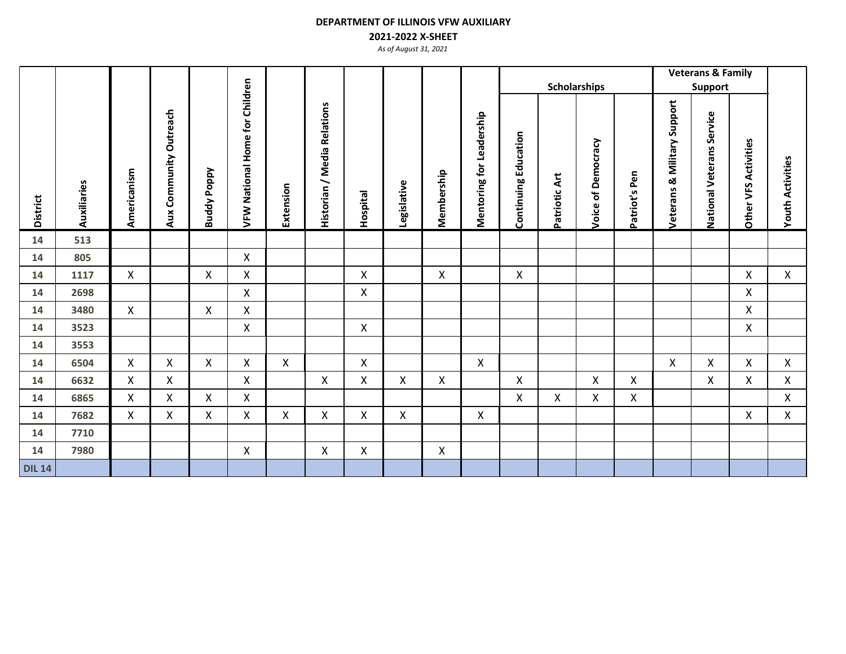### **2021-2022 X-SHEET**

|                 |             |             |                           |                    |                                |           |                                                                    |              |             |                    |                          |                             |               |                     |                    |                                | <b>Veterans &amp; Family</b> |                         |                         |
|-----------------|-------------|-------------|---------------------------|--------------------|--------------------------------|-----------|--------------------------------------------------------------------|--------------|-------------|--------------------|--------------------------|-----------------------------|---------------|---------------------|--------------------|--------------------------------|------------------------------|-------------------------|-------------------------|
|                 |             |             |                           |                    |                                |           |                                                                    |              |             |                    |                          |                             |               | <b>Scholarships</b> |                    |                                | <b>Support</b>               |                         |                         |
| <b>District</b> | Auxiliaries | Americanism | Community Outreach<br>Aux | <b>Buddy Poppy</b> | VFW National Home for Children | Extension | <b>Relations</b><br>Media<br>$\overline{\phantom{0}}$<br>Historian | Hospital     | Legislative | Membership         | Mentoring for Leadership | <b>Continuing Education</b> | Patriotic Art | Voice of Democracy  | atriot's Pen<br>Ő. | & Military Support<br>Veterans | National Veterans Service    | Activities<br>Other VFS | <b>Youth Activities</b> |
| 14              | 513         |             |                           |                    |                                |           |                                                                    |              |             |                    |                          |                             |               |                     |                    |                                |                              |                         |                         |
| 14              | 805         |             |                           |                    | X                              |           |                                                                    |              |             |                    |                          |                             |               |                     |                    |                                |                              |                         |                         |
| 14              | 1117        | X           |                           | $\mathsf{X}$       | X                              |           |                                                                    | X            |             | $\pmb{\mathsf{X}}$ |                          | X                           |               |                     |                    |                                |                              | X                       | $\pmb{\mathsf{X}}$      |
| 14              | 2698        |             |                           |                    | X                              |           |                                                                    | X            |             |                    |                          |                             |               |                     |                    |                                |                              | X                       |                         |
| 14              | 3480        | X           |                           | $\mathsf{X}$       | Χ                              |           |                                                                    |              |             |                    |                          |                             |               |                     |                    |                                |                              | X                       |                         |
| 14              | 3523        |             |                           |                    | X                              |           |                                                                    | X            |             |                    |                          |                             |               |                     |                    |                                |                              | X                       |                         |
| 14              | 3553        |             |                           |                    |                                |           |                                                                    |              |             |                    |                          |                             |               |                     |                    |                                |                              |                         |                         |
| 14              | 6504        | X           | X                         | X                  | X                              | X         |                                                                    | X            |             |                    | X                        |                             |               |                     |                    | Χ                              | X                            | X                       | $\mathsf{X}$            |
| 14              | 6632        | Χ           | X                         |                    | X                              |           | $\mathsf{X}$                                                       | X            | X           | X                  |                          | Χ                           |               | $\pmb{\mathsf{X}}$  | $\mathsf{X}$       |                                | X                            | X                       | $\pmb{\mathsf{X}}$      |
| 14              | 6865        | X           | X                         | X                  | X                              |           |                                                                    |              |             |                    |                          | X                           | $\mathsf{X}$  | X                   | $\mathsf{X}$       |                                |                              |                         | $\mathsf{X}$            |
| 14              | 7682        | Χ           | X                         | X                  | X                              | X         | X                                                                  | X            | X           |                    | X                        |                             |               |                     |                    |                                |                              | X                       | X                       |
| 14              | 7710        |             |                           |                    |                                |           |                                                                    |              |             |                    |                          |                             |               |                     |                    |                                |                              |                         |                         |
| 14              | 7980        |             |                           |                    | $\pmb{\times}$                 |           | $\mathsf{X}$                                                       | $\mathsf{X}$ |             | X                  |                          |                             |               |                     |                    |                                |                              |                         |                         |
| <b>DIL 14</b>   |             |             |                           |                    |                                |           |                                                                    |              |             |                    |                          |                             |               |                     |                    |                                |                              |                         |                         |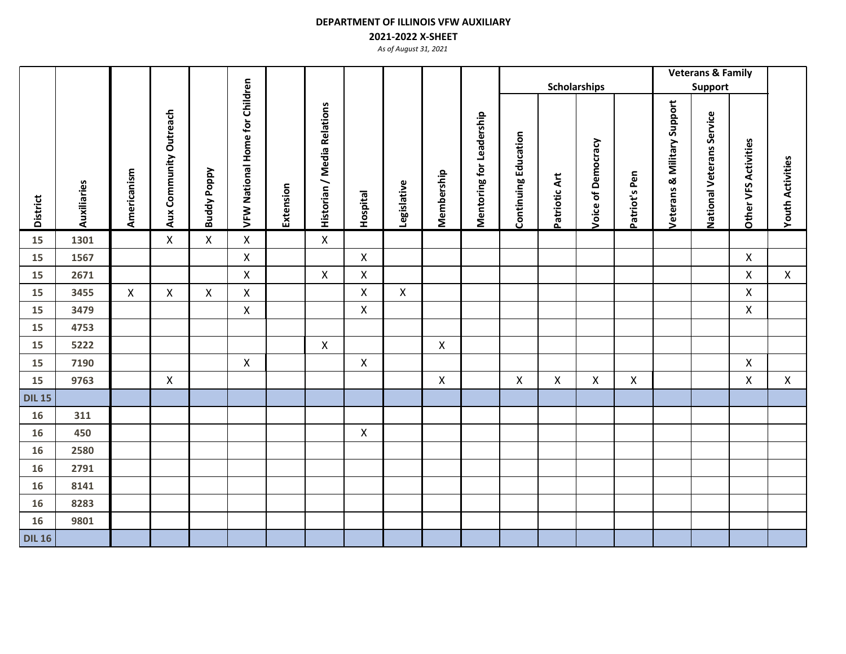## **2021-2022 X-SHEET**

|                 |             |                |                        |                    |                                       |           |                             |                    |                    |              |                          |                             | <b>Scholarships</b> |                    |               |                             | <b>Veterans &amp; Family</b><br>Support |                             |                         |
|-----------------|-------------|----------------|------------------------|--------------------|---------------------------------------|-----------|-----------------------------|--------------------|--------------------|--------------|--------------------------|-----------------------------|---------------------|--------------------|---------------|-----------------------------|-----------------------------------------|-----------------------------|-------------------------|
| <b>District</b> | Auxiliaries | Americanism    | Aux Community Outreach | <b>Buddy Poppy</b> | <b>VFW National Home for Children</b> | Extension | Historian / Media Relations | <b>Hospital</b>    | Legislative        | Membership   | Mentoring for Leadership | <b>Continuing Education</b> | Patriotic Art       | Voice of Democracy | Patriot's Pen | Veterans & Military Support | National Veterans Service               | <b>Other VFS Activities</b> | <b>Youth Activities</b> |
| 15              | 1301        |                | $\mathsf{X}$           | $\mathsf{X}$       | $\pmb{\times}$                        |           | $\mathsf{X}$                |                    |                    |              |                          |                             |                     |                    |               |                             |                                         |                             |                         |
| 15              | 1567        |                |                        |                    | $\mathsf X$                           |           |                             | $\pmb{\times}$     |                    |              |                          |                             |                     |                    |               |                             |                                         | $\mathsf X$                 |                         |
| 15              | 2671        |                |                        |                    | $\mathsf{X}$                          |           | $\mathsf{X}$                | X                  |                    |              |                          |                             |                     |                    |               |                             |                                         | X                           | $\mathsf{X}$            |
| 15              | 3455        | $\pmb{\times}$ | $\mathsf{X}$           | $\pmb{\mathsf{X}}$ | $\pmb{\mathsf{X}}$                    |           |                             | $\mathsf X$        | $\pmb{\mathsf{X}}$ |              |                          |                             |                     |                    |               |                             |                                         | X                           |                         |
| 15              | 3479        |                |                        |                    | $\pmb{\times}$                        |           |                             | X                  |                    |              |                          |                             |                     |                    |               |                             |                                         | $\mathsf{X}$                |                         |
| 15              | 4753        |                |                        |                    |                                       |           |                             |                    |                    |              |                          |                             |                     |                    |               |                             |                                         |                             |                         |
| 15              | 5222        |                |                        |                    |                                       |           | $\mathsf{X}$                |                    |                    | $\mathsf{X}$ |                          |                             |                     |                    |               |                             |                                         |                             |                         |
| 15              | 7190        |                |                        |                    | $\pmb{\times}$                        |           |                             | $\pmb{\mathsf{X}}$ |                    |              |                          |                             |                     |                    |               |                             |                                         | X                           |                         |
| 15              | 9763        |                | $\pmb{\mathsf{X}}$     |                    |                                       |           |                             |                    |                    | $\mathsf X$  |                          | $\mathsf{X}$                | $\mathsf{X}$        | $\pmb{\times}$     | $\mathsf{X}$  |                             |                                         | $\mathsf{X}$                | $\mathsf{X}$            |
| <b>DIL 15</b>   |             |                |                        |                    |                                       |           |                             |                    |                    |              |                          |                             |                     |                    |               |                             |                                         |                             |                         |
| 16              | 311         |                |                        |                    |                                       |           |                             |                    |                    |              |                          |                             |                     |                    |               |                             |                                         |                             |                         |
| 16              | 450         |                |                        |                    |                                       |           |                             | $\pmb{\times}$     |                    |              |                          |                             |                     |                    |               |                             |                                         |                             |                         |
| 16              | 2580        |                |                        |                    |                                       |           |                             |                    |                    |              |                          |                             |                     |                    |               |                             |                                         |                             |                         |
| 16              | 2791        |                |                        |                    |                                       |           |                             |                    |                    |              |                          |                             |                     |                    |               |                             |                                         |                             |                         |
| 16              | 8141        |                |                        |                    |                                       |           |                             |                    |                    |              |                          |                             |                     |                    |               |                             |                                         |                             |                         |
| 16              | 8283        |                |                        |                    |                                       |           |                             |                    |                    |              |                          |                             |                     |                    |               |                             |                                         |                             |                         |
| 16              | 9801        |                |                        |                    |                                       |           |                             |                    |                    |              |                          |                             |                     |                    |               |                             |                                         |                             |                         |
| <b>DIL 16</b>   |             |                |                        |                    |                                       |           |                             |                    |                    |              |                          |                             |                     |                    |               |                             |                                         |                             |                         |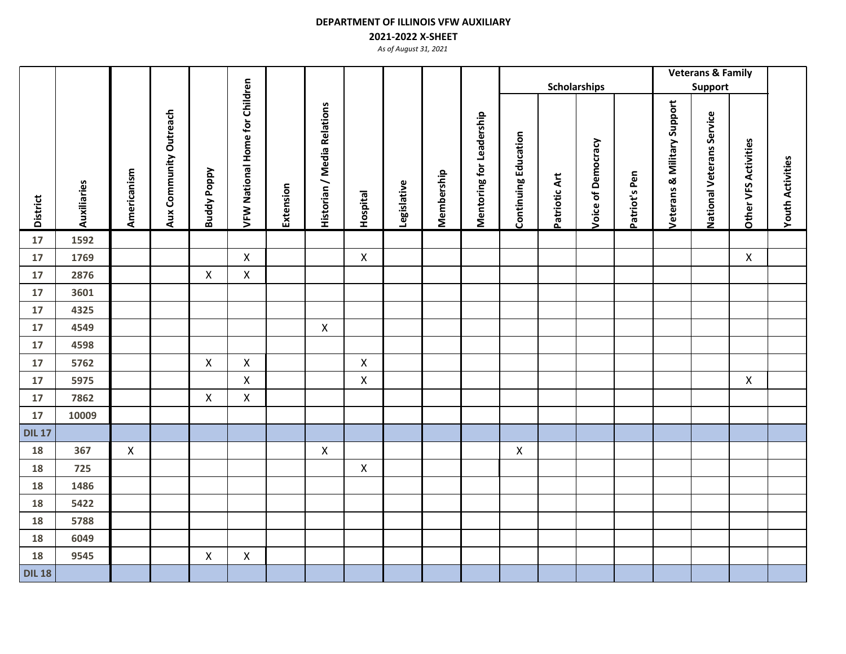## **2021-2022 X-SHEET**

|                 |             |                    |                        |                    |                                |           |                             |                 |             |            | <b>Scholarships</b>      |                             |               |                    |               |                                        | <b>Veterans &amp; Family</b>     |                             |                         |
|-----------------|-------------|--------------------|------------------------|--------------------|--------------------------------|-----------|-----------------------------|-----------------|-------------|------------|--------------------------|-----------------------------|---------------|--------------------|---------------|----------------------------------------|----------------------------------|-----------------------------|-------------------------|
|                 |             |                    |                        |                    |                                |           |                             |                 |             |            |                          |                             |               |                    |               |                                        | <b>Support</b>                   |                             |                         |
| <b>District</b> | Auxiliaries | Americanism        | Aux Community Outreach | <b>Buddy Poppy</b> | VFW National Home for Children | Extension | Historian / Media Relations | <b>Hospital</b> | Legislative | Membership | Mentoring for Leadership | <b>Continuing Education</b> | Patriotic Art | Voice of Democracy | Patriot's Pen | <b>Veterans &amp; Military Support</b> | <b>National Veterans Service</b> | <b>Other VFS Activities</b> | <b>Youth Activities</b> |
| 17              | 1592        |                    |                        |                    |                                |           |                             |                 |             |            |                          |                             |               |                    |               |                                        |                                  |                             |                         |
| 17              | 1769        |                    |                        |                    | $\boldsymbol{\mathsf{X}}$      |           |                             | $\pmb{\times}$  |             |            |                          |                             |               |                    |               |                                        |                                  | X                           |                         |
| 17              | 2876        |                    |                        | X                  | X                              |           |                             |                 |             |            |                          |                             |               |                    |               |                                        |                                  |                             |                         |
| 17              | 3601        |                    |                        |                    |                                |           |                             |                 |             |            |                          |                             |               |                    |               |                                        |                                  |                             |                         |
| 17              | 4325        |                    |                        |                    |                                |           |                             |                 |             |            |                          |                             |               |                    |               |                                        |                                  |                             |                         |
| 17              | 4549        |                    |                        |                    |                                |           | $\mathsf{X}$                |                 |             |            |                          |                             |               |                    |               |                                        |                                  |                             |                         |
| 17              | 4598        |                    |                        |                    |                                |           |                             |                 |             |            |                          |                             |               |                    |               |                                        |                                  |                             |                         |
| $17\,$          | 5762        |                    |                        | $\mathsf X$        | $\pmb{\times}$                 |           |                             | $\pmb{\times}$  |             |            |                          |                             |               |                    |               |                                        |                                  |                             |                         |
| $17\,$          | 5975        |                    |                        |                    | $\pmb{\times}$                 |           |                             | $\pmb{\times}$  |             |            |                          |                             |               |                    |               |                                        |                                  | $\pmb{\mathsf{X}}$          |                         |
| 17              | 7862        |                    |                        | $\mathsf X$        | $\pmb{\times}$                 |           |                             |                 |             |            |                          |                             |               |                    |               |                                        |                                  |                             |                         |
| 17              | 10009       |                    |                        |                    |                                |           |                             |                 |             |            |                          |                             |               |                    |               |                                        |                                  |                             |                         |
| <b>DIL 17</b>   |             |                    |                        |                    |                                |           |                             |                 |             |            |                          |                             |               |                    |               |                                        |                                  |                             |                         |
| 18              | 367         | $\pmb{\mathsf{X}}$ |                        |                    |                                |           | $\mathsf{X}$                |                 |             |            |                          | $\mathsf X$                 |               |                    |               |                                        |                                  |                             |                         |
| 18              | 725         |                    |                        |                    |                                |           |                             | $\mathsf{X}$    |             |            |                          |                             |               |                    |               |                                        |                                  |                             |                         |
| 18              | 1486        |                    |                        |                    |                                |           |                             |                 |             |            |                          |                             |               |                    |               |                                        |                                  |                             |                         |
| 18              | 5422        |                    |                        |                    |                                |           |                             |                 |             |            |                          |                             |               |                    |               |                                        |                                  |                             |                         |
| 18              | 5788        |                    |                        |                    |                                |           |                             |                 |             |            |                          |                             |               |                    |               |                                        |                                  |                             |                         |
| 18              | 6049        |                    |                        |                    |                                |           |                             |                 |             |            |                          |                             |               |                    |               |                                        |                                  |                             |                         |
| 18              | 9545        |                    |                        | $\mathsf X$        | $\pmb{\times}$                 |           |                             |                 |             |            |                          |                             |               |                    |               |                                        |                                  |                             |                         |
| <b>DIL 18</b>   |             |                    |                        |                    |                                |           |                             |                 |             |            |                          |                             |               |                    |               |                                        |                                  |                             |                         |